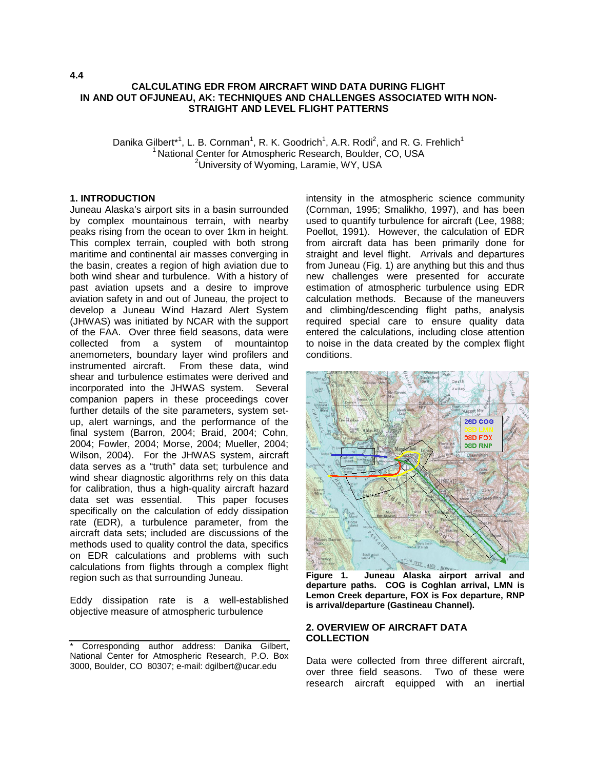#### **CALCULATING EDR FROM AIRCRAFT WIND DATA DURING FLIGHT IN AND OUT OFJUNEAU, AK: TECHNIQUES AND CHALLENGES ASSOCIATED WITH NON-STRAIGHT AND LEVEL FLIGHT PATTERNS**

Danika Gilbert<sup>\*1</sup>, L. B. Cornman<sup>1</sup>, R. K. Goodrich<sup>1</sup>, A.R. Rodi<sup>2</sup>, and R. G. Frehlich<sup>1</sup>  $1$  National Center for Atmospheric Research, Boulder, CO, USA <sup>2</sup>University of Wyoming, Laramie, WY, USA

## **1. INTRODUCTION**

Juneau Alaska's airport sits in a basin surrounded by complex mountainous terrain, with nearby peaks rising from the ocean to over 1km in height. This complex terrain, coupled with both strong maritime and continental air masses converging in the basin, creates a region of high aviation due to both wind shear and turbulence. With a history of past aviation upsets and a desire to improve aviation safety in and out of Juneau, the project to develop a Juneau Wind Hazard Alert System (JHWAS) was initiated by NCAR with the support of the FAA. Over three field seasons, data were collected from a system of mountaintop anemometers, boundary layer wind profilers and instrumented aircraft. From these data, wind shear and turbulence estimates were derived and incorporated into the JHWAS system. Several companion papers in these proceedings cover further details of the site parameters, system setup, alert warnings, and the performance of the final system (Barron, 2004; Braid, 2004; Cohn, 2004; Fowler, 2004; Morse, 2004; Mueller, 2004; Wilson, 2004). For the JHWAS system, aircraft data serves as a "truth" data set; turbulence and wind shear diagnostic algorithms rely on this data for calibration, thus a high-quality aircraft hazard data set was essential. This paper focuses specifically on the calculation of eddy dissipation rate (EDR), a turbulence parameter, from the aircraft data sets; included are discussions of the methods used to quality control the data, specifics on EDR calculations and problems with such calculations from flights through a complex flight region such as that surrounding Juneau.

Eddy dissipation rate is a well-established objective measure of atmospheric turbulence

intensity in the atmospheric science community (Cornman, 1995; Smalikho, 1997), and has been used to quantify turbulence for aircraft (Lee, 1988; Poellot, 1991). However, the calculation of EDR from aircraft data has been primarily done for straight and level flight. Arrivals and departures from Juneau (Fig. 1) are anything but this and thus new challenges were presented for accurate estimation of atmospheric turbulence using EDR calculation methods. Because of the maneuvers and climbing/descending flight paths, analysis required special care to ensure quality data entered the calculations, including close attention to noise in the data created by the complex flight conditions.



**Figure 1. Juneau Alaska airport arrival and departure paths. COG is Coghlan arrival, LMN is Lemon Creek departure, FOX is Fox departure, RNP is arrival/departure (Gastineau Channel).** 

## **2. OVERVIEW OF AIRCRAFT DATA COLLECTION**

Data were collected from three different aircraft, over three field seasons. Two of these were research aircraft equipped with an inertial

<sup>\*</sup> Corresponding author address: Danika Gilbert, National Center for Atmospheric Research, P.O. Box 3000, Boulder, CO 80307; e-mail: dgilbert@ucar.edu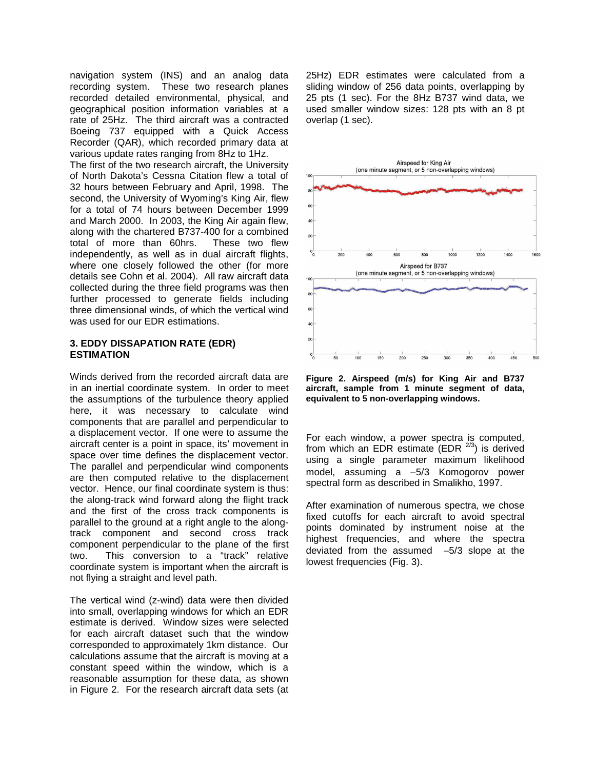navigation system (INS) and an analog data recording system. These two research planes recorded detailed environmental, physical, and geographical position information variables at a rate of 25Hz. The third aircraft was a contracted Boeing 737 equipped with a Quick Access Recorder (QAR), which recorded primary data at various update rates ranging from 8Hz to 1Hz.

The first of the two research aircraft, the University of North Dakota's Cessna Citation flew a total of 32 hours between February and April, 1998. The second, the University of Wyoming's King Air, flew for a total of 74 hours between December 1999 and March 2000. In 2003, the King Air again flew, along with the chartered B737-400 for a combined total of more than 60hrs. These two flew independently, as well as in dual aircraft flights, where one closely followed the other (for more details see Cohn et al. 2004). All raw aircraft data collected during the three field programs was then further processed to generate fields including three dimensional winds, of which the vertical wind was used for our EDR estimations.

## **3. EDDY DISSAPATION RATE (EDR) ESTIMATION**

Winds derived from the recorded aircraft data are in an inertial coordinate system. In order to meet the assumptions of the turbulence theory applied here, it was necessary to calculate wind components that are parallel and perpendicular to a displacement vector. If one were to assume the aircraft center is a point in space, its' movement in space over time defines the displacement vector. The parallel and perpendicular wind components are then computed relative to the displacement vector. Hence, our final coordinate system is thus: the along-track wind forward along the flight track and the first of the cross track components is parallel to the ground at a right angle to the alongtrack component and second cross track component perpendicular to the plane of the first two. This conversion to a "track" relative coordinate system is important when the aircraft is not flying a straight and level path.

The vertical wind (z-wind) data were then divided into small, overlapping windows for which an EDR estimate is derived. Window sizes were selected for each aircraft dataset such that the window corresponded to approximately 1km distance. Our calculations assume that the aircraft is moving at a constant speed within the window, which is a reasonable assumption for these data, as shown in Figure 2. For the research aircraft data sets (at 25Hz) EDR estimates were calculated from a sliding window of 256 data points, overlapping by 25 pts (1 sec). For the 8Hz B737 wind data, we used smaller window sizes: 128 pts with an 8 pt overlap (1 sec).



**Figure 2. Airspeed (m/s) for King Air and B737 aircraft, sample from 1 minute segment of data, equivalent to 5 non-overlapping windows.** 

For each window, a power spectra is computed, from which an EDR estimate (EDR  $^{2/3}$ ) is derived using a single parameter maximum likelihood model, assuming a −5/3 Komogorov power spectral form as described in Smalikho, 1997.

After examination of numerous spectra, we chose fixed cutoffs for each aircraft to avoid spectral points dominated by instrument noise at the highest frequencies, and where the spectra deviated from the assumed −5/3 slope at the lowest frequencies (Fig. 3).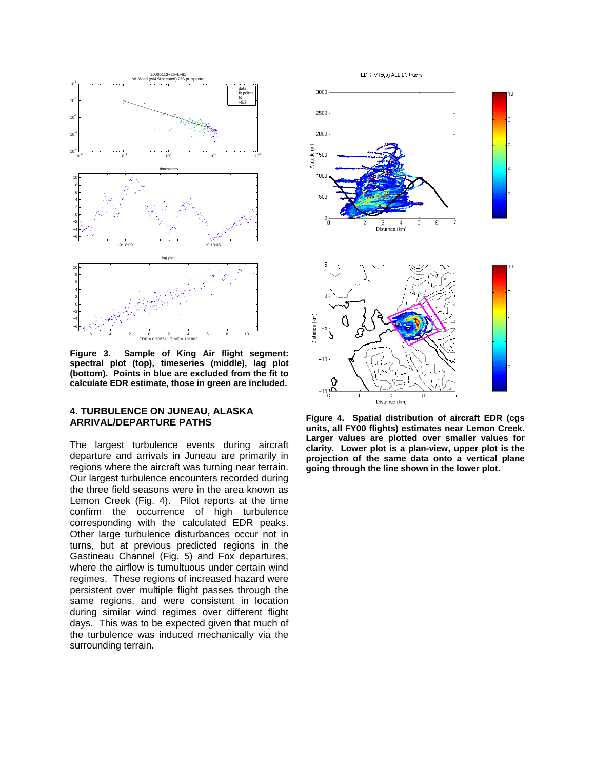

**Figure 3. Sample of King Air flight segment: spectral plot (top), timeseries (middle), lag plot (bottom). Points in blue are excluded from the fit to calculate EDR estimate, those in green are included.** 

### **4. TURBULENCE ON JUNEAU, ALASKA ARRIVAL/DEPARTURE PATHS**

The largest turbulence events during aircraft departure and arrivals in Juneau are primarily in regions where the aircraft was turning near terrain. Our largest turbulence encounters recorded during the three field seasons were in the area known as Lemon Creek (Fig. 4). Pilot reports at the time confirm the occurrence of high turbulence corresponding with the calculated EDR peaks. Other large turbulence disturbances occur not in turns, but at previous predicted regions in the Gastineau Channel (Fig. 5) and Fox departures, where the airflow is tumultuous under certain wind regimes. These regions of increased hazard were persistent over multiple flight passes through the same regions, and were consistent in location during similar wind regimes over different flight days. This was to be expected given that much of the turbulence was induced mechanically via the surrounding terrain.

EDR-V (cgs) ALL LC tracks



 $-10$ 0  $-15$   $-15$  $-10$ -5 Distance (km) **Figure 4. Spatial distribution of aircraft EDR (cgs** 

**units, all FY00 flights) estimates near Lemon Creek. Larger values are plotted over smaller values for clarity. Lower plot is a plan-view, upper plot is the projection of the same data onto a vertical plane going through the line shown in the lower plot.**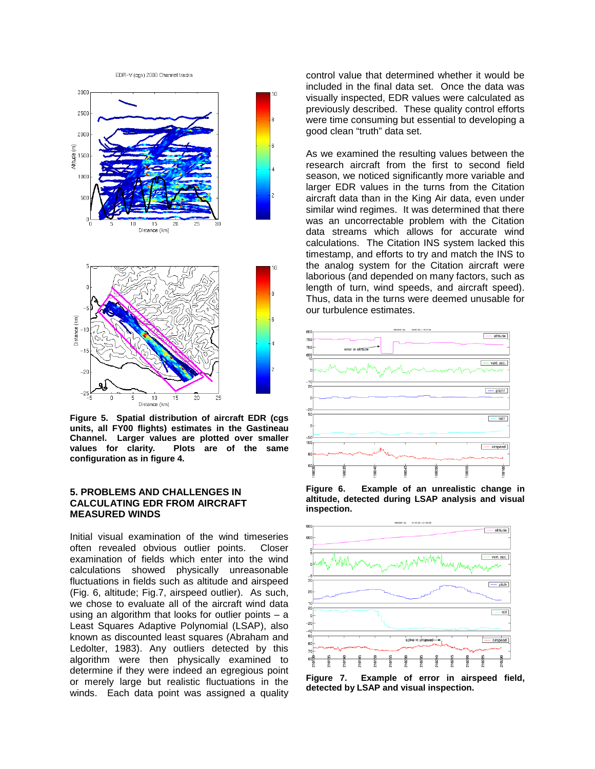EDR-V (cgs) 2000 Channel tracks



**Figure 5. Spatial distribution of aircraft EDR (cgs units, all FY00 flights) estimates in the Gastineau Channel. Larger values are plotted over smaller values for clarity. Plots are of the same configuration as in figure 4.** 

### **5. PROBLEMS AND CHALLENGES IN CALCULATING EDR FROM AIRCRAFT MEASURED WINDS**

Initial visual examination of the wind timeseries often revealed obvious outlier points. Closer examination of fields which enter into the wind calculations showed physically unreasonable fluctuations in fields such as altitude and airspeed (Fig. 6, altitude; Fig.7, airspeed outlier). As such, we chose to evaluate all of the aircraft wind data using an algorithm that looks for outlier points  $-$  a Least Squares Adaptive Polynomial (LSAP), also known as discounted least squares (Abraham and Ledolter, 1983). Any outliers detected by this algorithm were then physically examined to determine if they were indeed an egregious point or merely large but realistic fluctuations in the winds. Each data point was assigned a quality

control value that determined whether it would be included in the final data set. Once the data was visually inspected, EDR values were calculated as previously described. These quality control efforts were time consuming but essential to developing a good clean "truth" data set.

As we examined the resulting values between the research aircraft from the first to second field season, we noticed significantly more variable and larger EDR values in the turns from the Citation aircraft data than in the King Air data, even under similar wind regimes. It was determined that there was an uncorrectable problem with the Citation data streams which allows for accurate wind calculations. The Citation INS system lacked this timestamp, and efforts to try and match the INS to the analog system for the Citation aircraft were laborious (and depended on many factors, such as length of turn, wind speeds, and aircraft speed). Thus, data in the turns were deemed unusable for our turbulence estimates.



**Figure 6. Example of an unrealistic change in altitude, detected during LSAP analysis and visual inspection.** 



**Figure 7. Example of error in airspeed field, detected by LSAP and visual inspection.**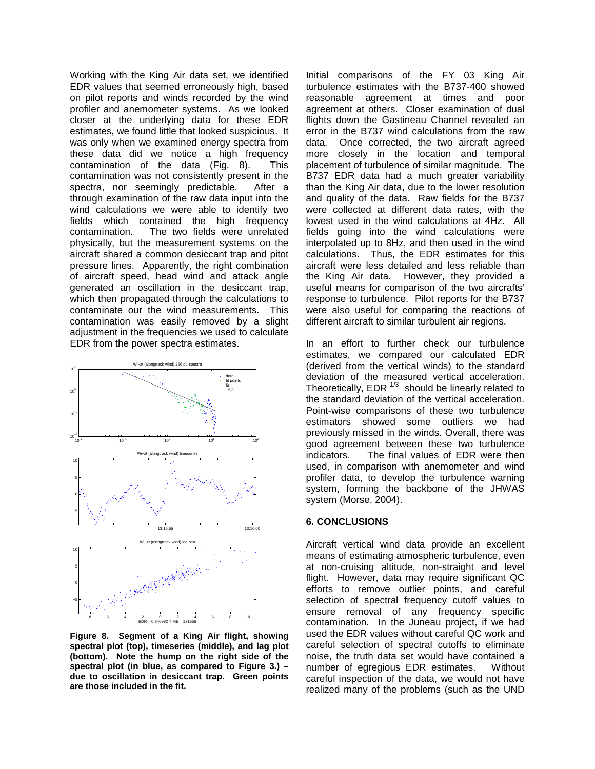Working with the King Air data set, we identified EDR values that seemed erroneously high, based on pilot reports and winds recorded by the wind profiler and anemometer systems. As we looked closer at the underlying data for these EDR estimates, we found little that looked suspicious. It was only when we examined energy spectra from these data did we notice a high frequency contamination of the data (Fig. 8). This contamination was not consistently present in the spectra, nor seemingly predictable. After a through examination of the raw data input into the wind calculations we were able to identify two fields which contained the high frequency contamination. The two fields were unrelated physically, but the measurement systems on the aircraft shared a common desiccant trap and pitot pressure lines. Apparently, the right combination of aircraft speed, head wind and attack angle generated an oscillation in the desiccant trap, which then propagated through the calculations to contaminate our the wind measurements. This contamination was easily removed by a slight adjustment in the frequencies we used to calculate EDR from the power spectra estimates.



**Figure 8. Segment of a King Air flight, showing spectral plot (top), timeseries (middle), and lag plot (bottom). Note the hump on the right side of the spectral plot (in blue, as compared to Figure 3.) – due to oscillation in desiccant trap. Green points are those included in the fit.** 

Initial comparisons of the FY 03 King Air turbulence estimates with the B737-400 showed reasonable agreement at times and poor agreement at others. Closer examination of dual flights down the Gastineau Channel revealed an error in the B737 wind calculations from the raw data. Once corrected, the two aircraft agreed more closely in the location and temporal placement of turbulence of similar magnitude. The B737 EDR data had a much greater variability than the King Air data, due to the lower resolution and quality of the data. Raw fields for the B737 were collected at different data rates, with the lowest used in the wind calculations at 4Hz. All fields going into the wind calculations were interpolated up to 8Hz, and then used in the wind calculations. Thus, the EDR estimates for this aircraft were less detailed and less reliable than the King Air data. However, they provided a useful means for comparison of the two aircrafts' response to turbulence. Pilot reports for the B737 were also useful for comparing the reactions of different aircraft to similar turbulent air regions.

In an effort to further check our turbulence estimates, we compared our calculated EDR (derived from the vertical winds) to the standard deviation of the measured vertical acceleration. Theoretically, EDR  $^{1/3}$  should be linearly related to the standard deviation of the vertical acceleration. Point-wise comparisons of these two turbulence estimators showed some outliers we had previously missed in the winds. Overall, there was good agreement between these two turbulence indicators. The final values of EDR were then used, in comparison with anemometer and wind profiler data, to develop the turbulence warning system, forming the backbone of the JHWAS system (Morse, 2004).

## **6. CONCLUSIONS**

Aircraft vertical wind data provide an excellent means of estimating atmospheric turbulence, even at non-cruising altitude, non-straight and level flight. However, data may require significant QC efforts to remove outlier points, and careful selection of spectral frequency cutoff values to ensure removal of any frequency specific contamination. In the Juneau project, if we had used the EDR values without careful QC work and careful selection of spectral cutoffs to eliminate noise, the truth data set would have contained a number of egregious EDR estimates. Without careful inspection of the data, we would not have realized many of the problems (such as the UND